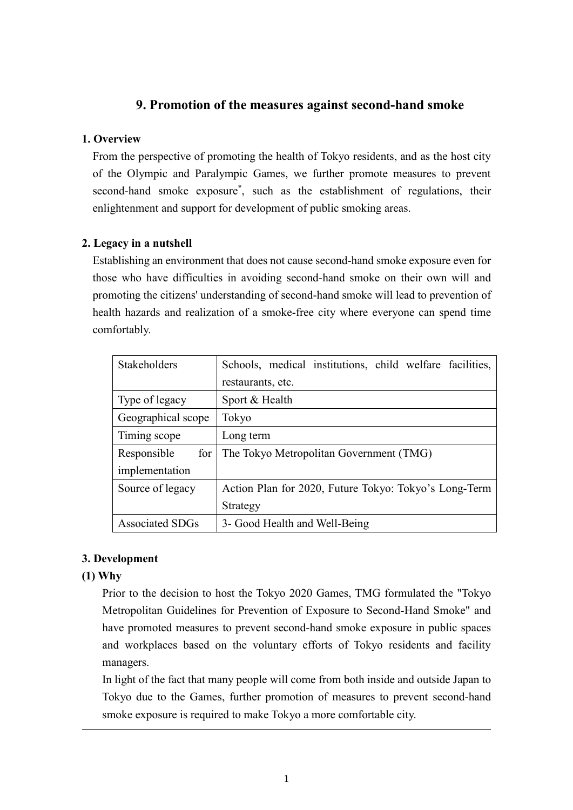## **9. Promotion of the measures against second-hand smoke**

## **1. Overview**

From the perspective of promoting the health of Tokyo residents, and as the host city of the Olympic and Paralympic Games, we further promote measures to prevent second-hand smoke exposure\* , such as the establishment of regulations, their enlightenment and support for development of public smoking areas.

## **2. Legacy in a nutshell**

Establishing an environment that does not cause second-hand smoke exposure even for those who have difficulties in avoiding second-hand smoke on their own will and promoting the citizens' understanding of second-hand smoke will lead to prevention of health hazards and realization of a smoke-free city where everyone can spend time comfortably.

| <b>Stakeholders</b>    | Schools, medical institutions, child welfare facilities, |  |  |
|------------------------|----------------------------------------------------------|--|--|
|                        | restaurants, etc.                                        |  |  |
| Type of legacy         | Sport & Health                                           |  |  |
| Geographical scope     | Tokyo                                                    |  |  |
| Timing scope           | Long term                                                |  |  |
| Responsible<br>for     | The Tokyo Metropolitan Government (TMG)                  |  |  |
| implementation         |                                                          |  |  |
| Source of legacy       | Action Plan for 2020, Future Tokyo: Tokyo's Long-Term    |  |  |
|                        | Strategy                                                 |  |  |
| <b>Associated SDGs</b> | 3- Good Health and Well-Being                            |  |  |

## **3. Development**

## **(1) Why**

Prior to the decision to host the Tokyo 2020 Games, TMG formulated the "Tokyo Metropolitan Guidelines for Prevention of Exposure to Second-Hand Smoke" and have promoted measures to prevent second-hand smoke exposure in public spaces and workplaces based on the voluntary efforts of Tokyo residents and facility managers.

In light of the fact that many people will come from both inside and outside Japan to Tokyo due to the Games, further promotion of measures to prevent second-hand smoke exposure is required to make Tokyo a more comfortable city.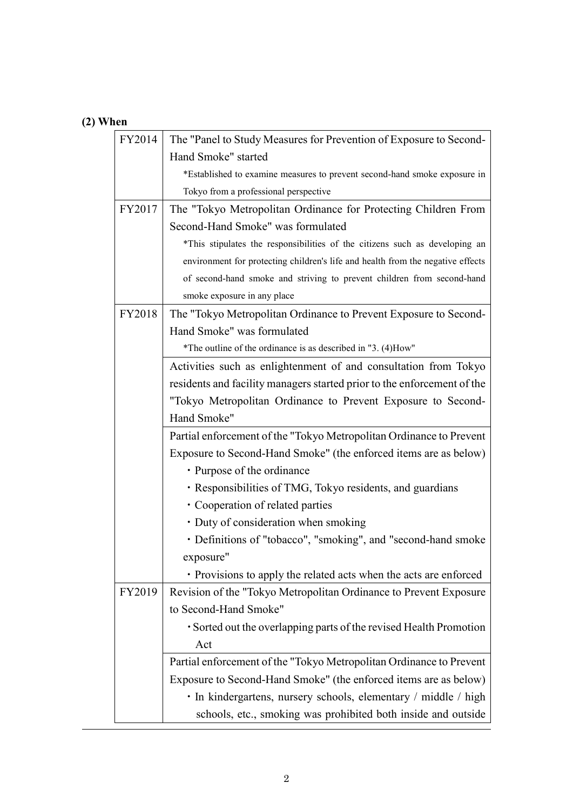# **(2) When**

| FY2014 | The "Panel to Study Measures for Prevention of Exposure to Second-              |  |  |
|--------|---------------------------------------------------------------------------------|--|--|
|        | Hand Smoke" started                                                             |  |  |
|        | *Established to examine measures to prevent second-hand smoke exposure in       |  |  |
|        | Tokyo from a professional perspective                                           |  |  |
| FY2017 | The "Tokyo Metropolitan Ordinance for Protecting Children From                  |  |  |
|        | Second-Hand Smoke" was formulated                                               |  |  |
|        | *This stipulates the responsibilities of the citizens such as developing an     |  |  |
|        | environment for protecting children's life and health from the negative effects |  |  |
|        | of second-hand smoke and striving to prevent children from second-hand          |  |  |
|        | smoke exposure in any place                                                     |  |  |
| FY2018 | The "Tokyo Metropolitan Ordinance to Prevent Exposure to Second-                |  |  |
|        | Hand Smoke" was formulated                                                      |  |  |
|        | *The outline of the ordinance is as described in "3. (4)How"                    |  |  |
|        | Activities such as enlightenment of and consultation from Tokyo                 |  |  |
|        | residents and facility managers started prior to the enforcement of the         |  |  |
|        | "Tokyo Metropolitan Ordinance to Prevent Exposure to Second-                    |  |  |
|        | Hand Smoke"                                                                     |  |  |
|        | Partial enforcement of the "Tokyo Metropolitan Ordinance to Prevent             |  |  |
|        | Exposure to Second-Hand Smoke" (the enforced items are as below)                |  |  |
|        | • Purpose of the ordinance                                                      |  |  |
|        | · Responsibilities of TMG, Tokyo residents, and guardians                       |  |  |
|        | • Cooperation of related parties                                                |  |  |
|        | • Duty of consideration when smoking                                            |  |  |
|        | • Definitions of "tobacco", "smoking", and "second-hand smoke                   |  |  |
|        | exposure"                                                                       |  |  |
|        | • Provisions to apply the related acts when the acts are enforced               |  |  |
| FY2019 | Revision of the "Tokyo Metropolitan Ordinance to Prevent Exposure               |  |  |
|        | to Second-Hand Smoke"                                                           |  |  |
|        | • Sorted out the overlapping parts of the revised Health Promotion              |  |  |
|        | Act                                                                             |  |  |
|        | Partial enforcement of the "Tokyo Metropolitan Ordinance to Prevent             |  |  |
|        | Exposure to Second-Hand Smoke" (the enforced items are as below)                |  |  |
|        | • In kindergartens, nursery schools, elementary / middle / high                 |  |  |
|        |                                                                                 |  |  |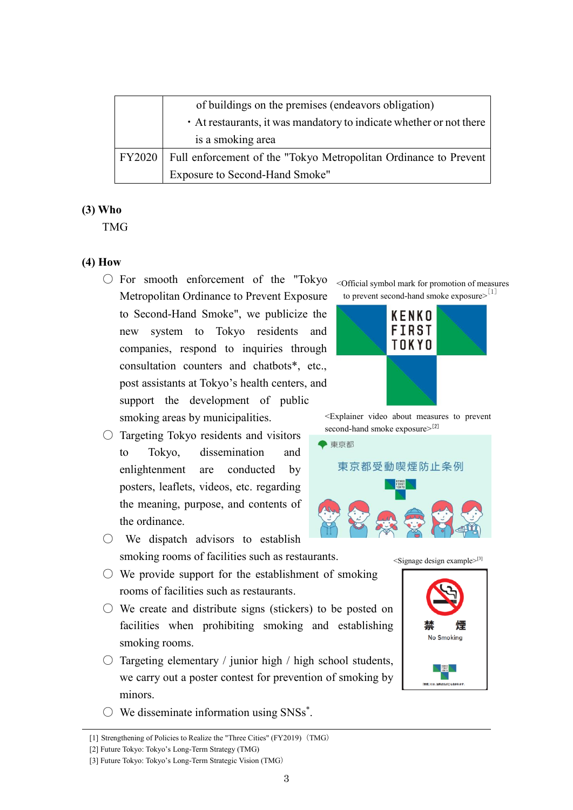|        | of buildings on the premises (endeavors obligation)                 |  |  |
|--------|---------------------------------------------------------------------|--|--|
|        | • At restaurants, it was mandatory to indicate whether or not there |  |  |
|        | is a smoking area                                                   |  |  |
| FY2020 | Full enforcement of the "Tokyo Metropolitan Ordinance to Prevent    |  |  |
|        | Exposure to Second-Hand Smoke"                                      |  |  |

#### **(3) Who**

TMG

#### **(4) How**

- For smooth enforcement of the "Tokyo Metropolitan Ordinance to Prevent Exposure to Second-Hand Smoke", we publicize the new system to Tokyo residents and companies, respond to inquiries through consultation counters and chatbots\*, etc., post assistants at Tokyo's health centers, and support the development of public smoking areas by municipalities.
- $\circ$  Targeting Tokyo residents and visitors to Tokyo, dissemination and enlightenment are conducted by posters, leaflets, videos, etc. regarding the meaning, purpose, and contents of the ordinance.
- We dispatch advisors to establish smoking rooms of facilities such as restaurants.
- $\circlearrowright$  We provide support for the establishment of smoking rooms of facilities such as restaurants.
- $\circlearrowright$  We create and distribute signs (stickers) to be posted on facilities when prohibiting smoking and establishing smoking rooms.
- $\circ$  Targeting elementary / junior high / high school students, we carry out a poster contest for prevention of smoking by minors.
- $\bigcirc$  We disseminate information using SNSs\*.

[1] Strengthening of Policies to Realize the "Three Cities" (FY2019) (TMG)

<Official symbol mark for promotion of measures to prevent second-hand smoke exposure>[1]



<Explainer video about measures to prevent second-hand smoke exposure>[2]



 $\leq$ Signage design example $>$ [3]



<sup>[2]</sup> Future Tokyo: Tokyo's Long-Term Strategy (TMG)

<sup>[3]</sup> Future Tokyo: Tokyo's Long-Term Strategic Vision (TMG)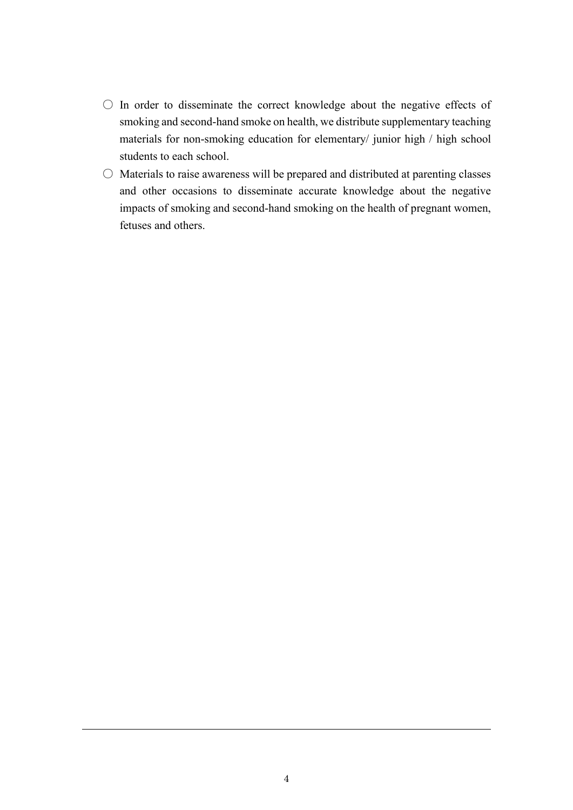- In order to disseminate the correct knowledge about the negative effects of smoking and second-hand smoke on health, we distribute supplementary teaching materials for non-smoking education for elementary/ junior high / high school students to each school.
- $\circ$  Materials to raise awareness will be prepared and distributed at parenting classes and other occasions to disseminate accurate knowledge about the negative impacts of smoking and second-hand smoking on the health of pregnant women, fetuses and others.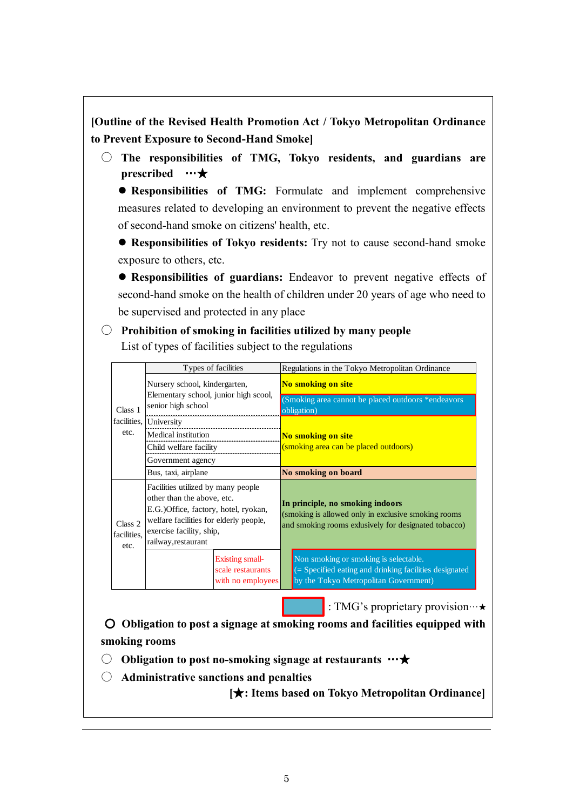# **[Outline of the Revised Health Promotion Act / Tokyo Metropolitan Ordinance to Prevent Exposure to Second-Hand Smoke]**

○ **The responsibilities of TMG, Tokyo residents, and guardians are prescribed** …★

 **Responsibilities of TMG:** Formulate and implement comprehensive measures related to developing an environment to prevent the negative effects of second-hand smoke on citizens' health, etc.

 **Responsibilities of Tokyo residents:** Try not to cause second-hand smoke exposure to others, etc.

 **Responsibilities of guardians:** Endeavor to prevent negative effects of second-hand smoke on the health of children under 20 years of age who need to be supervised and protected in any place

○ **Prohibition of smoking in facilities utilized by many people**

List of types of facilities subject to the regulations

| Class 1<br>facilities.<br>etc. | Types of facilities                                                                                                                                                                                    | Regulations in the Tokyo Metropolitan Ordinance                                                                                                  |  |
|--------------------------------|--------------------------------------------------------------------------------------------------------------------------------------------------------------------------------------------------------|--------------------------------------------------------------------------------------------------------------------------------------------------|--|
|                                | Nursery school, kindergarten,<br>Elementary school, junior high scool,<br>senior high school                                                                                                           | No smoking on site<br>(Smoking area cannot be placed outdoors *endeavors)                                                                        |  |
|                                | University                                                                                                                                                                                             | obligation)                                                                                                                                      |  |
|                                | Medical institution                                                                                                                                                                                    | No smoking on site                                                                                                                               |  |
|                                | Child welfare facility                                                                                                                                                                                 | (smoking area can be placed outdoors)                                                                                                            |  |
|                                | Government agency                                                                                                                                                                                      |                                                                                                                                                  |  |
|                                | Bus, taxi, airplane                                                                                                                                                                                    | No smoking on board                                                                                                                              |  |
| Class 2<br>facilities.<br>etc. | Facilities utilized by many people<br>other than the above, etc.<br>E.G.) Office, factory, hotel, ryokan,<br>welfare facilities for elderly people,<br>exercise facility, ship,<br>railway, restaurant | In principle, no smoking indoors<br>(smoking is allowed only in exclusive smoking rooms)<br>and smoking rooms exlusively for designated tobacco) |  |
|                                | Existing small-<br>scale restaurants<br>with no employees                                                                                                                                              | Non smoking or smoking is selectable.<br>(= Specified eating and drinking facilities designated<br>by the Tokyo Metropolitan Government)         |  |

: TMG's proprietary provision…★

○ **Obligation to post a signage at smoking rooms and facilities equipped with smoking rooms**

○ **Obligation to post no-smoking signage at restaurants** …★

○ **Administrative sanctions and penalties**

**[**★**: Items based on Tokyo Metropolitan Ordinance]**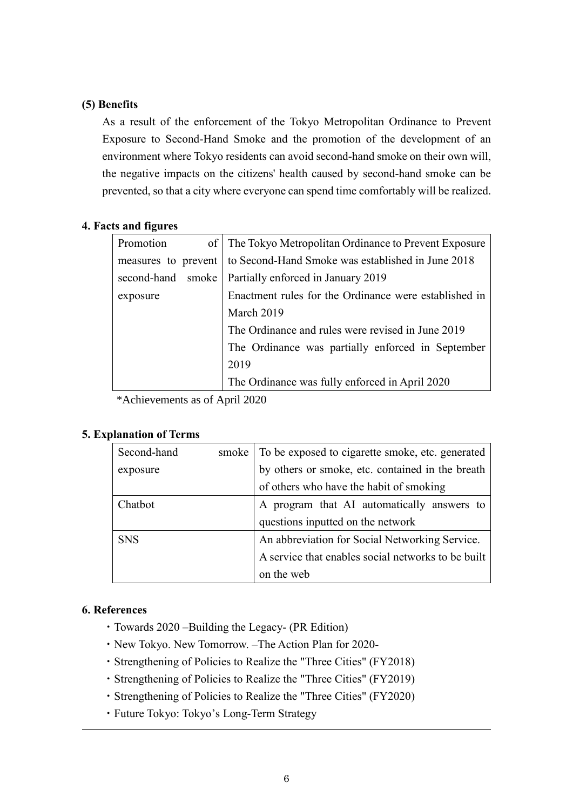### **(5) Benefits**

As a result of the enforcement of the Tokyo Metropolitan Ordinance to Prevent Exposure to Second-Hand Smoke and the promotion of the development of an environment where Tokyo residents can avoid second-hand smoke on their own will, the negative impacts on the citizens' health caused by second-hand smoke can be prevented, so that a city where everyone can spend time comfortably will be realized.

#### **4. Facts and figures**

| Promotion<br>of <sup>2</sup> | The Tokyo Metropolitan Ordinance to Prevent Exposure  |  |
|------------------------------|-------------------------------------------------------|--|
| measures to prevent          | to Second-Hand Smoke was established in June 2018     |  |
| second-hand smoke            | Partially enforced in January 2019                    |  |
| exposure                     | Enactment rules for the Ordinance were established in |  |
|                              | March 2019                                            |  |
|                              | The Ordinance and rules were revised in June 2019     |  |
|                              | The Ordinance was partially enforced in September     |  |
|                              | 2019                                                  |  |
|                              | The Ordinance was fully enforced in April 2020        |  |

\*Achievements as of April 2020

## **5. Explanation of Terms**

| Second-hand    | smoke | To be exposed to cigarette smoke, etc. generated   |
|----------------|-------|----------------------------------------------------|
| exposure       |       | by others or smoke, etc. contained in the breath   |
|                |       | of others who have the habit of smoking            |
| <b>Chathot</b> |       | A program that AI automatically answers to         |
|                |       | questions inputted on the network                  |
| <b>SNS</b>     |       | An abbreviation for Social Networking Service.     |
|                |       | A service that enables social networks to be built |
|                |       | on the web                                         |

## **6. References**

- ・Towards 2020 –Building the Legacy- (PR Edition)
- ・New Tokyo. New Tomorrow. –The Action Plan for 2020-
- ・Strengthening of Policies to Realize the "Three Cities" (FY2018)
- ・Strengthening of Policies to Realize the "Three Cities" (FY2019)
- ・Strengthening of Policies to Realize the "Three Cities" (FY2020)
- ・Future Tokyo: Tokyo's Long-Term Strategy